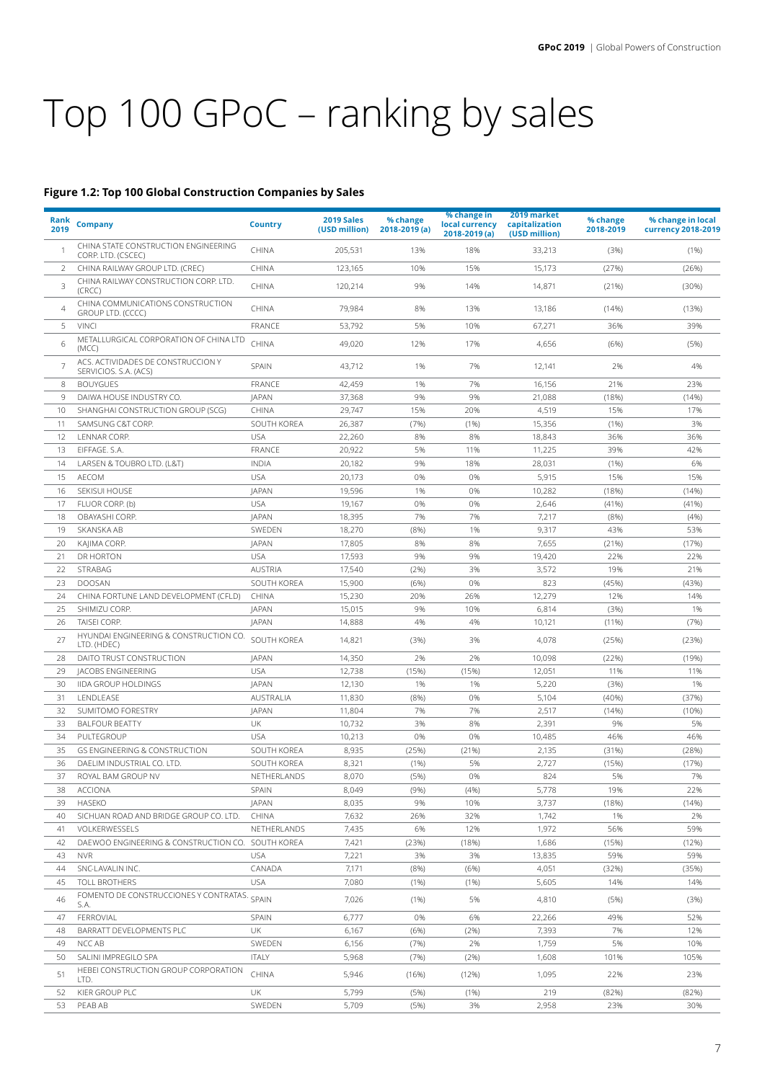## Top 100 GPoC – ranking by sales

## **Figure 1.2: Top 100 Global Construction Companies by Sales**

| Rank<br>2019 | <b>Company</b>                                              | <b>Country</b> | 2019 Sales<br>(USD million) | % change<br>2018-2019 (a) | % change in<br>local currency<br>2018-2019 (a) | 2019 market<br>capitalization<br>(USD million) | % change<br>2018-2019 | % change in local<br><b>currency 2018-2019</b> |
|--------------|-------------------------------------------------------------|----------------|-----------------------------|---------------------------|------------------------------------------------|------------------------------------------------|-----------------------|------------------------------------------------|
|              | CHINA STATE CONSTRUCTION ENGINEERING<br>CORP. LTD. (CSCEC)  | CHINA          | 205,531                     | 13%                       | 18%                                            | 33,213                                         | (3%)                  | (1%)                                           |
| 2            | CHINA RAILWAY GROUP LTD. (CREC)                             | CHINA          | 123,165                     | 10%                       | 15%                                            | 15,173                                         | (27%)                 | (26%)                                          |
| 3            | CHINA RAILWAY CONSTRUCTION CORP. LTD.<br>(CRCC)             | CHINA          | 120,214                     | 9%                        | 14%                                            | 14,871                                         | (21%)                 | (30%)                                          |
| 4            | CHINA COMMUNICATIONS CONSTRUCTION<br>GROUP LTD. (CCCC)      | CHINA          | 79,984                      | 8%                        | 13%                                            | 13,186                                         | (14%)                 | (13%)                                          |
| 5            | <b>VINCI</b>                                                | FRANCE         | 53,792                      | 5%                        | 10%                                            | 67,271                                         | 36%                   | 39%                                            |
| 6            | METALLURGICAL CORPORATION OF CHINA LTD<br>(MCC)             | CHINA          | 49,020                      | 12%                       | 17%                                            | 4,656                                          | (6%)                  | (5%)                                           |
|              | ACS. ACTIVIDADES DE CONSTRUCCION Y<br>SERVICIOS. S.A. (ACS) | SPAIN          | 43,712                      | 1%                        | 7%                                             | 12,141                                         | 2%                    | 4%                                             |
| 8            | <b>BOUYGUES</b>                                             | FRANCE         | 42,459                      | 1%                        | 7%                                             | 16,156                                         | 21%                   | 23%                                            |
| 9            | DAIWA HOUSE INDUSTRY CO.                                    | <b>JAPAN</b>   | 37,368                      | 9%                        | 9%                                             | 21,088                                         | (18%)                 | (14%)                                          |
| 10           | SHANGHAI CONSTRUCTION GROUP (SCG)                           | CHINA          | 29,747                      | 15%                       | 20%                                            | 4,519                                          | 15%                   | 17%                                            |
| 11           | SAMSUNG C&T CORP.                                           | SOUTH KOREA    | 26,387                      | (7%)                      | (1%)                                           | 15,356                                         | (1%)                  | 3%                                             |
| 12           | LENNAR CORP.                                                | <b>USA</b>     | 22,260                      | 8%                        | 8%                                             | 18,843                                         | 36%                   | 36%                                            |
| 13           | EIFFAGE. S.A.                                               | FRANCE         | 20,922                      | 5%                        | 11%                                            | 11,225                                         | 39%                   | 42%                                            |
| 14           | LARSEN & TOUBRO LTD. (L&T)                                  | INDIA          | 20,182                      | 9%                        | 18%                                            | 28,031                                         | (1%)                  | 6%                                             |
| 15           | <b>AECOM</b>                                                | <b>USA</b>     | 20,173                      | 0%                        | 0%                                             | 5,915                                          | 15%                   | 15%                                            |
| 16           | SEKISUI HOUSE                                               | <b>JAPAN</b>   | 19,596                      | 1%                        | 0%                                             | 10,282                                         | (18%)                 | (14%)                                          |
| 17           | FLUOR CORP. (b)                                             | <b>USA</b>     | 19,167                      | 0%                        | 0%                                             | 2,646                                          | (41%)                 | (41%)                                          |
| 18           | OBAYASHI CORP.                                              | <b>JAPAN</b>   | 18,395                      | 7%                        | 7%                                             | 7,217                                          | (8%)                  | (4% )                                          |
|              |                                                             | SWEDEN         |                             |                           | 1%                                             |                                                |                       |                                                |
| 19           | SKANSKA AB                                                  |                | 18,270                      | (8% )                     |                                                | 9,317                                          | 43%                   | 53%                                            |
| 20           | KAJIMA CORP.                                                | <b>JAPAN</b>   | 17,805                      | 8%                        | 8%                                             | 7,655                                          | (21%)                 | (17%)                                          |
| 21           | DR HORTON                                                   | <b>USA</b>     | 17,593                      | 9%                        | 9%                                             | 19,420                                         | 22%                   | 22%                                            |
| 22           | STRABAG                                                     | <b>AUSTRIA</b> | 17,540                      | (2%)                      | 3%                                             | 3,572                                          | 19%                   | 21%                                            |
| 23           | <b>DOOSAN</b>                                               | SOUTH KOREA    | 15,900                      | (6%)                      | 0%                                             | 823                                            | (45%)                 | (43%)                                          |
| 24           | CHINA FORTUNE LAND DEVELOPMENT (CFLD)                       | CHINA          | 15,230                      | 20%                       | 26%                                            | 12,279                                         | 12%                   | 14%                                            |
| 25           | SHIMIZU CORP.                                               | <b>JAPAN</b>   | 15,015                      | 9%                        | 10%                                            | 6,814                                          | (3%)                  | 1%                                             |
| 26           | <b>TAISEI CORP.</b>                                         | <b>JAPAN</b>   | 14,888                      | 4%                        | 4%                                             | 10,121                                         | (11%)                 | (7%)                                           |
| 27           | HYUNDAI ENGINEERING & CONSTRUCTION CO.<br>LTD. (HDEC)       | SOUTH KOREA    | 14,821                      | (3%)                      | 3%                                             | 4,078                                          | (25%)                 | (23%)                                          |
| 28           | DAITO TRUST CONSTRUCTION                                    | <b>JAPAN</b>   | 14,350                      | 2%                        | 2%                                             | 10,098                                         | (22%)                 | (19%)                                          |
| 29           | <b>JACOBS ENGINEERING</b>                                   | <b>USA</b>     | 12,738                      | (15%)                     | (15%)                                          | 12,051                                         | 11%                   | 11%                                            |
| 30           | <b>IIDA GROUP HOLDINGS</b>                                  | <b>JAPAN</b>   | 12,130                      | 1%                        | 1%                                             | 5,220                                          | (3%)                  | 1%                                             |
| 31           | LENDLEASE                                                   | AUSTRALIA      | 11,830                      | (8%)                      | 0%                                             | 5,104                                          | (40%                  | (37%)                                          |
| 32           | SUMITOMO FORESTRY                                           | <b>JAPAN</b>   | 11,804                      | 7%                        | 7%                                             | 2,517                                          | (14%)                 | (10%                                           |
| 33           | <b>BALFOUR BEATTY</b>                                       | UK             | 10,732                      | 3%                        | 8%                                             | 2,391                                          | 9%                    | 5%                                             |
| 34           | PULTEGROUP                                                  | <b>USA</b>     | 10,213                      | 0%                        | 0%                                             | 10,485                                         | 46%                   | 46%                                            |
| 35           | <b>GS ENGINEERING &amp; CONSTRUCTION</b>                    | SOUTH KOREA    | 8,935                       | (25%)                     | (21%)                                          | 2,135                                          | (31%)                 | (28%)                                          |
| 36           | DAELIM INDUSTRIAL CO. LTD.                                  | SOUTH KOREA    | 8,321                       | (1%)                      | 5%                                             | 2,727                                          | (15%)                 | (17%)                                          |
| 37           | ROYAL BAM GROUP NV                                          | NETHERLANDS    | 8,070                       | (5%)                      | 0%                                             | 824                                            | 5%                    | 7%                                             |
| 38           | <b>ACCIONA</b>                                              | <b>SPAIN</b>   | 8,049                       | (9%)                      | (4% )                                          | 5,778                                          | 19%                   | 22%                                            |
| 39           | <b>HASEKO</b>                                               | <b>JAPAN</b>   | 8,035                       | 9%                        | 10%                                            | 3,737                                          | (18%)                 | (14%)                                          |
| 40           | SICHUAN ROAD AND BRIDGE GROUP CO. LTD.                      | <b>CHINA</b>   | 7,632                       | 26%                       | 32%                                            | 1,742                                          | 1%                    | 2%                                             |
|              |                                                             |                |                             |                           |                                                |                                                | 56%                   | 59%                                            |
| 41           | VOLKERWESSELS                                               | NETHERLANDS    | 7,435                       | 6%                        | 12%                                            | 1,972                                          |                       |                                                |
| 42           | DAEWOO ENGINEERING & CONSTRUCTION CO. SOUTH KOREA           |                | 7,421                       | (23%)                     | (18%)                                          | 1,686                                          | (15%)                 | (12%)                                          |
| 43           | <b>NVR</b>                                                  | <b>USA</b>     | 7,221                       | 3%                        | 3%                                             | 13,835                                         | 59%                   | 59%                                            |
| 44           | SNC-LAVALIN INC.                                            | CANADA         | 7,171                       | (8%)                      | (6%)                                           | 4,051                                          | (32%)                 | (35%)                                          |
| 45           | TOLL BROTHERS                                               | <b>USA</b>     | 7,080                       | (1%)                      | (1%)                                           | 5,605                                          | 14%                   | 14%                                            |
| 46           | FOMENTO DE CONSTRUCCIONES Y CONTRATAS.<br>S.A.              | SPAIN          | 7,026                       | (1%)                      | 5%                                             | 4,810                                          | (5%)                  | (3%)                                           |
| 47           | FERROVIAL                                                   | <b>SPAIN</b>   | 6,777                       | 0%                        | 6%                                             | 22,266                                         | 49%                   | 52%                                            |
| 48           | BARRATT DEVELOPMENTS PLC                                    | UK             | 6,167                       | (6%)                      | (2%)                                           | 7,393                                          | 7%                    | 12%                                            |
| 49           | NCC AB                                                      | SWEDEN         | 6,156                       | (7%)                      | 2%                                             | 1,759                                          | 5%                    | 10%                                            |
| 50           | SALINI IMPREGILO SPA                                        | <b>ITALY</b>   | 5,968                       | (7%)                      | (2%)                                           | 1,608                                          | 101%                  | 105%                                           |
| 51           | HEBEI CONSTRUCTION GROUP CORPORATION<br>LTD.                | <b>CHINA</b>   | 5,946                       | (16%)                     | (12%)                                          | 1,095                                          | 22%                   | 23%                                            |
| 52           | KIER GROUP PLC                                              | UK             | 5,799                       | (5%)                      | (1%)                                           | 219                                            | (82%)                 | (82%)                                          |
| 53           | PEAB AB                                                     | SWEDEN         | 5,709                       | (5%)                      | 3%                                             | 2,958                                          | 23%                   | 30%                                            |
|              |                                                             |                |                             |                           |                                                |                                                |                       |                                                |